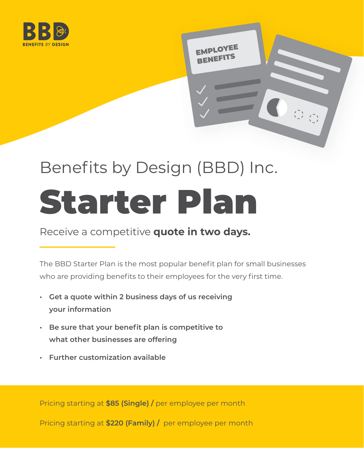

# Benefits by Design (BBD) Inc. Starter Plan

EMPLOYEE

#### Receive a competitive **quote in two days.**

The BBD Starter Plan is the most popular benefit plan for small businesses who are providing benefits to their employees for the very first time.

- **Get a quote within 2 business days of us receiving your information**
- **Be sure that your benefit plan is competitive to what other businesses are offering**
- **• Further customization available**

Pricing starting at **\$85 (Single) /** per employee per month

Pricing starting at **\$220 (Family) /** per employee per month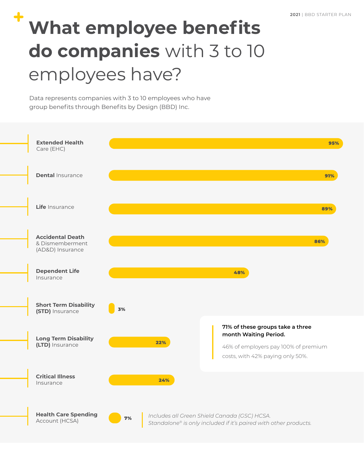## **What employee benefits do companies** with 3 to 10 employees have?

Data represents companies with 3 to 10 employees who have group benefits through Benefits by Design (BBD) Inc.

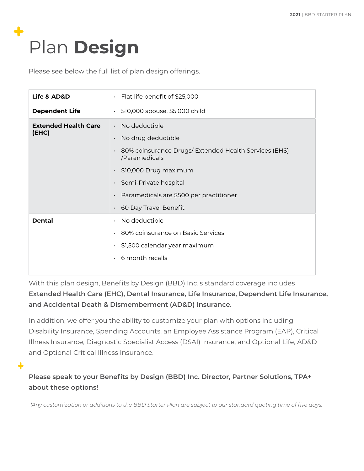## Plan **Design**

Please see below the full list of plan design offerings.

| Life & AD&D                          | Flat life benefit of \$25,000<br>$\bullet$                                                                                                                                                                                                                                                        |  |  |  |  |  |  |  |
|--------------------------------------|---------------------------------------------------------------------------------------------------------------------------------------------------------------------------------------------------------------------------------------------------------------------------------------------------|--|--|--|--|--|--|--|
| <b>Dependent Life</b>                | \$10,000 spouse, \$5,000 child<br>$\bullet$                                                                                                                                                                                                                                                       |  |  |  |  |  |  |  |
| <b>Extended Health Care</b><br>(EHC) | $\cdot$ No deductible<br>No drug deductible<br>80% coinsurance Drugs/ Extended Health Services (EHS)<br>$\bullet$<br>/Paramedicals<br>· \$10,000 Drug maximum<br>Semi-Private hospital<br>$\bullet$<br>Paramedicals are \$500 per practitioner<br>$\bullet$<br>60 Day Travel Benefit<br>$\bullet$ |  |  |  |  |  |  |  |
| <b>Dental</b>                        | No deductible<br>80% coinsurance on Basic Services<br>$\bullet$<br>\$1,500 calendar year maximum<br>6 month recalls                                                                                                                                                                               |  |  |  |  |  |  |  |

With this plan design, Benefits by Design (BBD) Inc.'s standard coverage includes **Extended Health Care (EHC), Dental Insurance, Life Insurance, Dependent Life Insurance, and Accidental Death & Dismemberment (AD&D) Insurance.**

In addition, we offer you the ability to customize your plan with options including Disability Insurance, Spending Accounts, an Employee Assistance Program (EAP), Critical Illness Insurance, Diagnostic Specialist Access (DSAI) Insurance, and Optional Life, AD&D and Optional Critical Illness Insurance.

**Please speak to your Benefits by Design (BBD) Inc. Director, Partner Solutions, TPA+ about these options!**

*\*Any customization or additions to the BBD Starter Plan are subject to our standard quoting time of five days.*